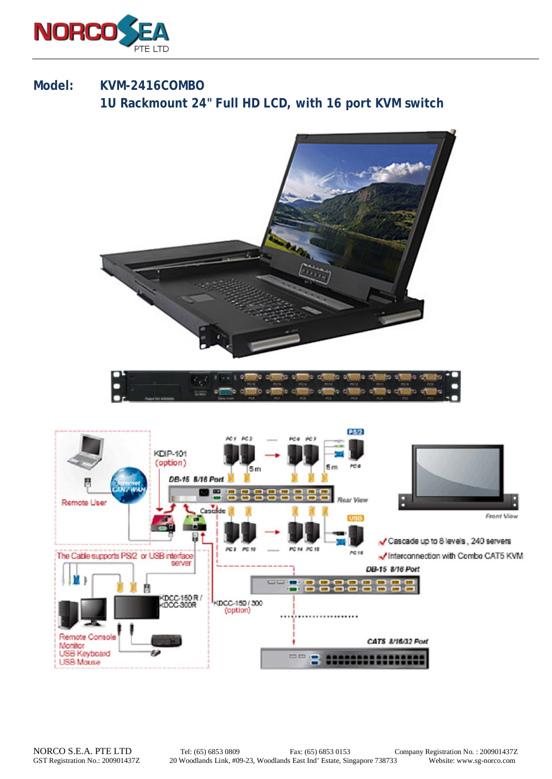

## **Model: KVM-2416COMBO 1U Rackmount 24" Full HD LCD, with 16 port KVM switch**

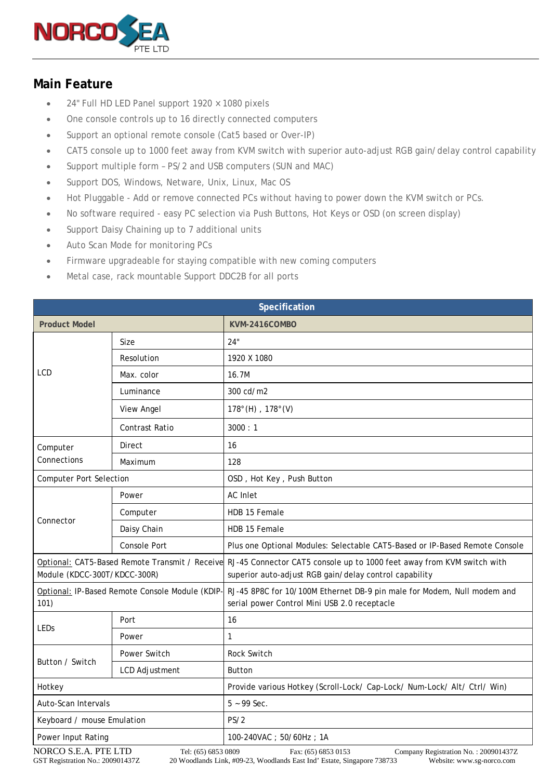

## **Main Feature**

- 24" Full HD LED Panel support  $1920 \times 1080$  pixels
- One console controls up to 16 directly connected computers
- Support an optional remote console (Cat5 based or Over-IP)
- CAT5 console up to 1000 feet away from KVM switch with superior auto-adjust RGB gain/delay control capability
- Support multiple form PS/2 and USB computers (SUN and MAC)
- Support DOS, Windows, Netware, Unix, Linux, Mac OS
- Hot Pluggable Add or remove connected PCs without having to power down the KVM switch or PCs.
- No software required easy PC selection via Push Buttons, Hot Keys or OSD (on screen display)
- Support Daisy Chaining up to 7 additional units
- Auto Scan Mode for monitoring PCs
- Firmware upgradeable for staying compatible with new coming computers
- Metal case, rack mountable Support DDC2B for all ports

| Specification                                          |                   |                                                                                                                                                                                 |  |
|--------------------------------------------------------|-------------------|---------------------------------------------------------------------------------------------------------------------------------------------------------------------------------|--|
| <b>Product Model</b>                                   |                   | KVM-2416COMBO                                                                                                                                                                   |  |
| <b>LCD</b>                                             | Size              | 24"                                                                                                                                                                             |  |
|                                                        | Resolution        | 1920 X 1080                                                                                                                                                                     |  |
|                                                        | Max. color        | 16.7M                                                                                                                                                                           |  |
|                                                        | Luminance         | 300 cd/m2                                                                                                                                                                       |  |
|                                                        | <b>View Angel</b> | $178^{\circ}$ (H), $178^{\circ}$ (V)                                                                                                                                            |  |
|                                                        | Contrast Ratio    | 3000 : 1                                                                                                                                                                        |  |
| Computer<br>Connections                                | Direct            | 16                                                                                                                                                                              |  |
|                                                        | Maximum           | 128                                                                                                                                                                             |  |
| <b>Computer Port Selection</b>                         |                   | OSD, Hot Key, Push Button                                                                                                                                                       |  |
| Connector                                              | Power             | AC Inlet                                                                                                                                                                        |  |
|                                                        | Computer          | HDB 15 Female                                                                                                                                                                   |  |
|                                                        | Daisy Chain       | HDB 15 Female                                                                                                                                                                   |  |
|                                                        | Console Port      | Plus one Optional Modules: Selectable CAT5-Based or IP-Based Remote Console                                                                                                     |  |
| Module (KDCC-300T/KDCC-300R)                           |                   | Optional: CAT5-Based Remote Transmit / Receive RJ-45 Connector CAT5 console up to 1000 feet away from KVM switch with<br>superior auto-adjust RGB gain/delay control capability |  |
| Optional: IP-Based Remote Console Module (KDIP<br>101) |                   | RJ-45 8P8C for 10/100M Ethernet DB-9 pin male for Modem, Null modem and<br>serial power Control Mini USB 2.0 receptacle                                                         |  |
| LEDs                                                   | Port              | 16                                                                                                                                                                              |  |
|                                                        | Power             | 1                                                                                                                                                                               |  |
| Button / Switch                                        | Power Switch      | Rock Switch                                                                                                                                                                     |  |
|                                                        | LCD Adjustment    | <b>Button</b>                                                                                                                                                                   |  |
| Hotkey                                                 |                   | Provide various Hotkey (Scroll-Lock/ Cap-Lock/ Num-Lock/ Alt/ Ctrl/ Win)                                                                                                        |  |
| Auto-Scan Intervals                                    |                   | $5 - 99$ Sec.                                                                                                                                                                   |  |
| Keyboard / mouse Emulation                             |                   | PS/2                                                                                                                                                                            |  |
| Power Input Rating                                     |                   | 100-240VAC; 50/60Hz; 1A                                                                                                                                                         |  |
| MODCO SEA DTELTD<br>$T1 / 77 \times 0.52.0000$         |                   | $C = D + L$ $N = 2000014277$<br>$\Gamma = (CD)$ $CDD01D0$                                                                                                                       |  |

NORCO S.E.A. PTE LTD Tel: (65) 6853 0809 Fax: (65) 6853 0153 Company Registration No. : 200901437Z<br>GST Registration No. : 200901437Z 20 Woodlands Link, #09-23, Woodlands East Ind' Estate, Singapore 738733 Website: www.sg-n 20 Woodlands Link, #09-23, Woodlands East Ind' Estate, Singapore 738733